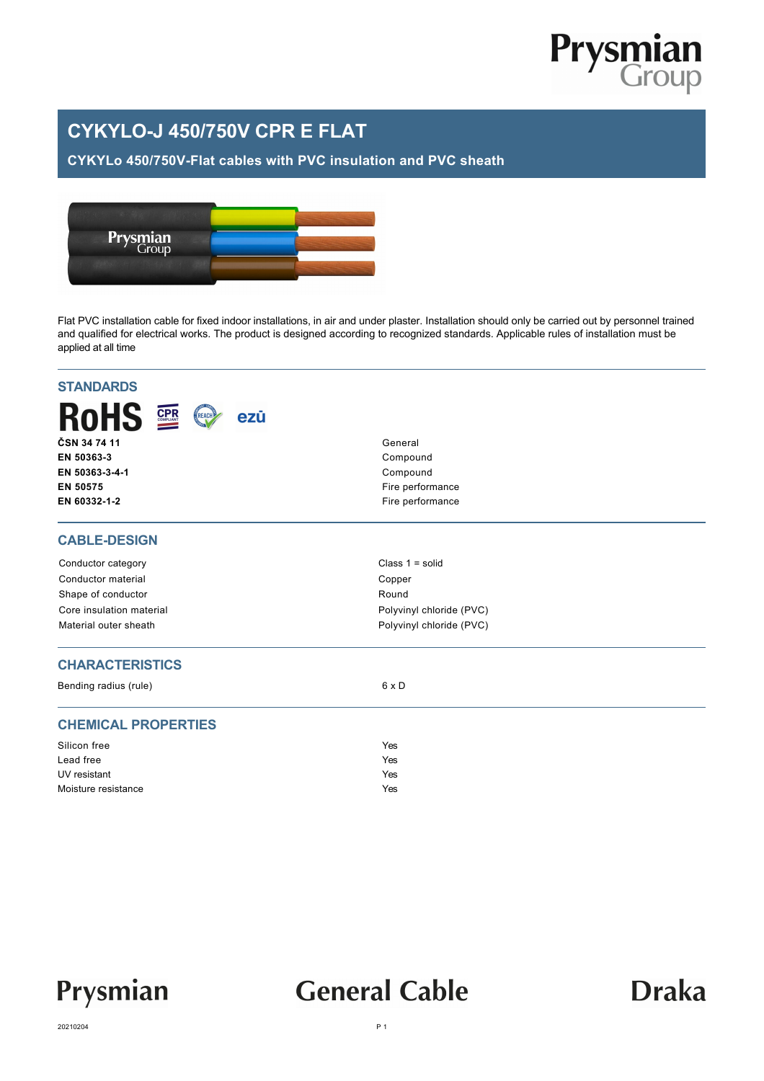

### **CYKYLO-J 450/750V CPR E FLAT**

#### **CYKYLo 450/750V-Flat cables with PVC insulation and PVC sheath**



Flat PVC installation cable for fixed indoor installations, in air and under plaster. Installation should only be carried out by personnel trained and qualified for electrical works. The product is designed according to recognized standards. Applicable rules of installation must be applied at all time

| <b>STANDARDS</b>              |                          |  |  |  |
|-------------------------------|--------------------------|--|--|--|
| <b>RoHS 2</b><br>REACH<br>ezū |                          |  |  |  |
| ČSN 34 74 11                  | General<br>Compound      |  |  |  |
| EN 50363-3                    |                          |  |  |  |
| EN 50363-3-4-1                | Compound                 |  |  |  |
| EN 50575                      | Fire performance         |  |  |  |
| EN 60332-1-2                  | Fire performance         |  |  |  |
| <b>CABLE-DESIGN</b>           |                          |  |  |  |
| Conductor category            | Class $1 = solid$        |  |  |  |
| Conductor material            | Copper                   |  |  |  |
| Shape of conductor            | Round                    |  |  |  |
| Core insulation material      | Polyvinyl chloride (PVC) |  |  |  |
| Material outer sheath         | Polyvinyl chloride (PVC) |  |  |  |
| <b>CHARACTERISTICS</b>        |                          |  |  |  |
| Bending radius (rule)         | $6 \times D$             |  |  |  |
| <b>CHEMICAL PROPERTIES</b>    |                          |  |  |  |
| Silicon free                  | Yes                      |  |  |  |
| Lead free                     | Yes                      |  |  |  |
| UV resistant                  | Yes                      |  |  |  |
| Moisture resistance           | Yes                      |  |  |  |



## **General Cable**